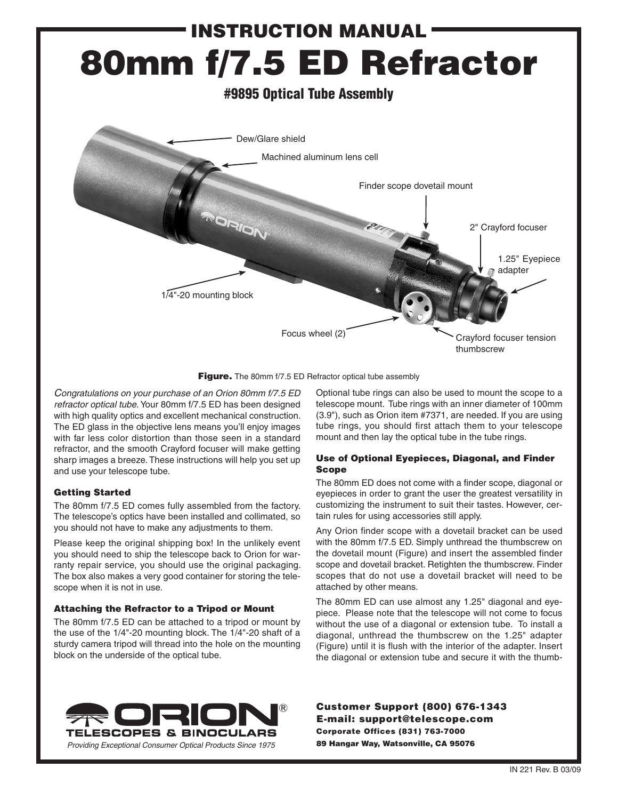# instruction Manual 80mm f/7.5 ED Refractor #9895 Optical Tube Assembly Dew/Glare shield Machined aluminum lens cell Finder scope dovetail mount OIFIO 2" Crayford focuser 1.25" Eyepiece adapter 1/4"-20 mounting blockFocus wheel (2) Crayford focuser tension thumbscrew

Figure. The 80mm f/7.5 ED Refractor optical tube assembly

*Congratulations on your purchase of an Orion 80mm f/7.5 ED refractor optical tube.* Your 80mm f/7.5 ED has been designed with high quality optics and excellent mechanical construction. The ED glass in the objective lens means you'll enjoy images with far less color distortion than those seen in a standard refractor, and the smooth Crayford focuser will make getting sharp images a breeze. These instructions will help you set up and use your telescope tube.

## Getting Started

The 80mm f/7.5 ED comes fully assembled from the factory. The telescope's optics have been installed and collimated, so you should not have to make any adjustments to them.

Please keep the original shipping box! In the unlikely event you should need to ship the telescope back to Orion for warranty repair service, you should use the original packaging. The box also makes a very good container for storing the telescope when it is not in use.

## Attaching the Refractor to a Tripod or Mount

The 80mm f/7.5 ED can be attached to a tripod or mount by the use of the 1/4"-20 mounting block. The 1/4"-20 shaft of a sturdy camera tripod will thread into the hole on the mounting block on the underside of the optical tube.

Optional tube rings can also be used to mount the scope to a telescope mount. Tube rings with an inner diameter of 100mm (3.9"), such as Orion item #7371, are needed. If you are using tube rings, you should first attach them to your telescope mount and then lay the optical tube in the tube rings.

## Use of Optional Eyepieces, Diagonal, and Finder Scope

The 80mm ED does not come with a finder scope, diagonal or eyepieces in order to grant the user the greatest versatility in customizing the instrument to suit their tastes. However, certain rules for using accessories still apply.

Any Orion finder scope with a dovetail bracket can be used with the 80mm f/7.5 ED. Simply unthread the thumbscrew on the dovetail mount (Figure) and insert the assembled finder scope and dovetail bracket. Retighten the thumbscrew. Finder scopes that do not use a dovetail bracket will need to be attached by other means.

The 80mm ED can use almost any 1.25" diagonal and eyepiece. Please note that the telescope will not come to focus without the use of a diagonal or extension tube. To install a diagonal, unthread the thumbscrew on the 1.25" adapter (Figure) until it is flush with the interior of the adapter. Insert the diagonal or extension tube and secure it with the thumb-



Customer Support (800) 676-1343 E-mail: support@telescope.com Corporate Offices (831) 763-7000 89 Hangar Way, Watsonville, CA 95076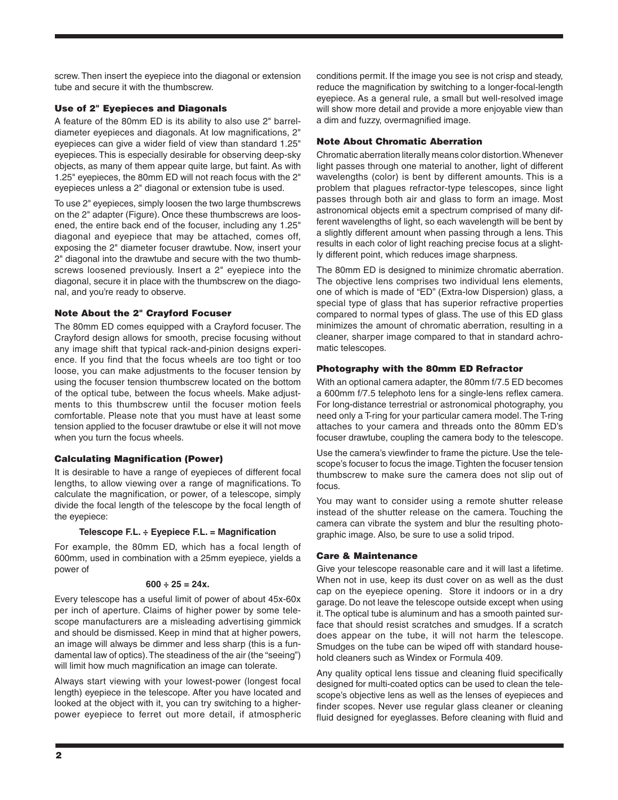screw. Then insert the eyepiece into the diagonal or extension tube and secure it with the thumbscrew.

## Use of 2" Eyepieces and Diagonals

A feature of the 80mm ED is its ability to also use 2" barreldiameter eyepieces and diagonals. At low magnifications, 2" eyepieces can give a wider field of view than standard 1.25" eyepieces. This is especially desirable for observing deep-sky objects, as many of them appear quite large, but faint. As with 1.25" eyepieces, the 80mm ED will not reach focus with the 2" eyepieces unless a 2" diagonal or extension tube is used.

To use 2" eyepieces, simply loosen the two large thumbscrews on the 2" adapter (Figure). Once these thumbscrews are loosened, the entire back end of the focuser, including any 1.25" diagonal and eyepiece that may be attached, comes off, exposing the 2" diameter focuser drawtube. Now, insert your 2" diagonal into the drawtube and secure with the two thumbscrews loosened previously. Insert a 2" eyepiece into the diagonal, secure it in place with the thumbscrew on the diagonal, and you're ready to observe.

#### Note About the 2" Crayford Focuser

The 80mm ED comes equipped with a Crayford focuser. The Crayford design allows for smooth, precise focusing without any image shift that typical rack-and-pinion designs experience. If you find that the focus wheels are too tight or too loose, you can make adjustments to the focuser tension by using the focuser tension thumbscrew located on the bottom of the optical tube, between the focus wheels. Make adjustments to this thumbscrew until the focuser motion feels comfortable. Please note that you must have at least some tension applied to the focuser drawtube or else it will not move when you turn the focus wheels.

#### Calculating Magnification (Power)

It is desirable to have a range of eyepieces of different focal lengths, to allow viewing over a range of magnifications. To calculate the magnification, or power, of a telescope, simply divide the focal length of the telescope by the focal length of the eyepiece:

#### **Telescope F.L. ÷ Eyepiece F.L. = Magnification**

For example, the 80mm ED, which has a focal length of 600mm, used in combination with a 25mm eyepiece, yields a power of

#### **600 ÷ 25 = 24x.**

Every telescope has a useful limit of power of about 45x-60x per inch of aperture. Claims of higher power by some telescope manufacturers are a misleading advertising gimmick and should be dismissed. Keep in mind that at higher powers, an image will always be dimmer and less sharp (this is a fundamental law of optics). The steadiness of the air (the "seeing") will limit how much magnification an image can tolerate.

Always start viewing with your lowest-power (longest focal length) eyepiece in the telescope. After you have located and looked at the object with it, you can try switching to a higherpower eyepiece to ferret out more detail, if atmospheric conditions permit. If the image you see is not crisp and steady, reduce the magnification by switching to a longer-focal-length eyepiece. As a general rule, a small but well-resolved image will show more detail and provide a more enjoyable view than a dim and fuzzy, overmagnified image.

#### Note About Chromatic Aberration

Chromatic aberration literally means color distortion. Whenever light passes through one material to another, light of different wavelengths (color) is bent by different amounts. This is a problem that plagues refractor-type telescopes, since light passes through both air and glass to form an image. Most astronomical objects emit a spectrum comprised of many different wavelengths of light, so each wavelength will be bent by a slightly different amount when passing through a lens. This results in each color of light reaching precise focus at a slightly different point, which reduces image sharpness.

The 80mm ED is designed to minimize chromatic aberration. The objective lens comprises two individual lens elements, one of which is made of "ED" (Extra-low Dispersion) glass, a special type of glass that has superior refractive properties compared to normal types of glass. The use of this ED glass minimizes the amount of chromatic aberration, resulting in a cleaner, sharper image compared to that in standard achromatic telescopes.

#### Photography with the 80mm ED Refractor

With an optional camera adapter, the 80mm f/7.5 ED becomes a 600mm f/7.5 telephoto lens for a single-lens reflex camera. For long-distance terrestrial or astronomical photography, you need only a T-ring for your particular camera model. The T-ring attaches to your camera and threads onto the 80mm ED's focuser drawtube, coupling the camera body to the telescope.

Use the camera's viewfinder to frame the picture. Use the telescope's focuser to focus the image. Tighten the focuser tension thumbscrew to make sure the camera does not slip out of focus.

You may want to consider using a remote shutter release instead of the shutter release on the camera. Touching the camera can vibrate the system and blur the resulting photographic image. Also, be sure to use a solid tripod.

## Care & Maintenance

Give your telescope reasonable care and it will last a lifetime. When not in use, keep its dust cover on as well as the dust cap on the eyepiece opening. Store it indoors or in a dry garage. Do not leave the telescope outside except when using it. The optical tube is aluminum and has a smooth painted surface that should resist scratches and smudges. If a scratch does appear on the tube, it will not harm the telescope. Smudges on the tube can be wiped off with standard household cleaners such as Windex or Formula 409.

Any quality optical lens tissue and cleaning fluid specifically designed for multi-coated optics can be used to clean the telescope's objective lens as well as the lenses of eyepieces and finder scopes. Never use regular glass cleaner or cleaning fluid designed for eyeglasses. Before cleaning with fluid and